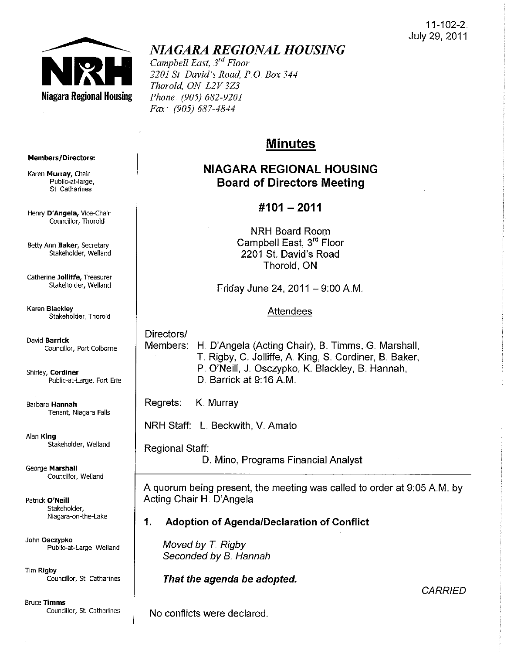#### 11-102-2. July 29, 2011



# *NIAGARA REGIONAL HOUSING*

*Campbell East, 3rd Floor 2201* Sf. *David's Road, PO Box 344 Thorold, ON L2V3Z3 Phone (905) 682-9201 Fax (905) 687-4844* 

# Minutes

## NIAGARA REGIONAL HOUSING Board of Directors Meeting

### #101 - 2011

NRH Board Room Campbell East, 3rd Floor 2201 St David's Road Thorold, ON

Friday June 24,  $2011 - 9:00$  A.M.

#### **Attendees**

Directors/ Members: H. D'Angela (Acting Chair), B. Timms, G. Marshall, T. Rigby, C. Jolliffe, A. King, S. Cordiner, B. Baker, P. O'Neill, J. Osczypko, K. Blackley, B. Hannah, D. Barrick at 9:16 A.M.

Regrets: K. Murray

NRH Staff: L. Beckwith, V. Amato

Regional Staff:

D. Mino, Programs Financial Analyst

A quorum being present, the meeting was called to order at 9:05 AM.. by Acting Chair H. D'Angela.

1. Adoption of AgendalDeclaration of Conflict

Moved by *T.* Rigby Seconded by B. Hannah

That the agenda be adopted.

**CARRIED** 

No conflicts were declared.

#### Members/Directors:

Karen Murray, Chair Public-at-[arge, St Catharines

Henry D'Angela, Vice-Chair Councillor, Thorold

Betty Ann Baker, Secretary Stakeholder, Weiland

Catherine Jolliffe, Treasurer Stakeholder, Weiland

Karen Blackley

David Barrick Councillor, Port Colborne

Public-at-Large, Fort Erie

Barbara Hannah

Alan King Stakeholder, Weiland

George Marshall Councillor, Welland

Patrick O'Neill Stakeholder, Niagara-on-the-Lake

.John Osczypko Public-at-Large, Weiland

Tim Rigby Councillor, St Catharines

Bruce Timms Councillor, St. Catharines

Stakeholder, Thorold

Tenant, Niagara Falls

# Shirley, Cordiner'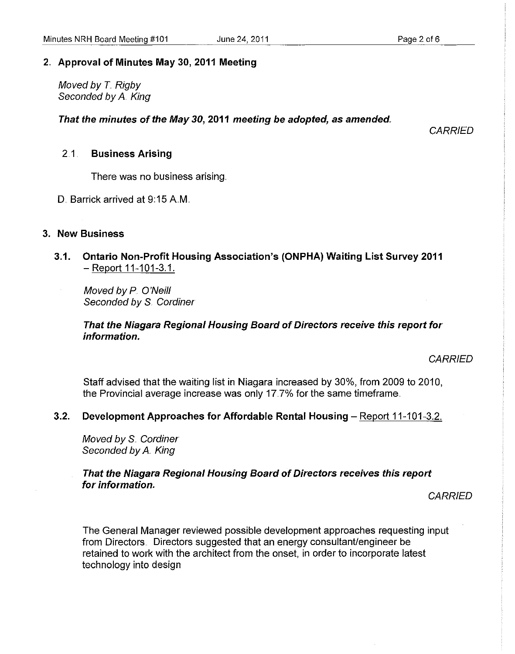#### 2" Approval of Minutes May 30, 2011 Meeting

Moved by *T.* Rigby Seconded by A. King

That the minutes of the May 30, 2011 meeting be adopted, as amended.

**CARRIED** 

#### 2.1 . Business Arising

There was no business arising ..

D. Barrick arrived at 9:15 A.M.

#### 3. New Business

3" 1. Ontario Non-Profit Housing Association's (ONPHA) Waiting List Survey 2011 - Report 11-101-3.1.

Moved by P. O'Neill Seconded by S. Cordiner

#### That the Niagara Regional Housing Board of Directors receive this report for information.

**CARRIED** 

Staff advised that the waiting list in Niagara increased by 30%, from 2009 to 2010, the Provincial average increase was only 17.7% for the same timeframe.

#### 3.2. Development Approaches for Affordable Rental Housing - Report 11-101-3.2.

Moved by S. Cordiner Seconded by A. King

That the Niagara Regional Housing Board of Directors receives this report for information.

**CARRIED** 

The General Manager reviewed possible development approaches requesting input from Directors. Directors suggested that an energy consultant/engineer be retained to work with the architect from the onset, in order to incorporate latest technology into design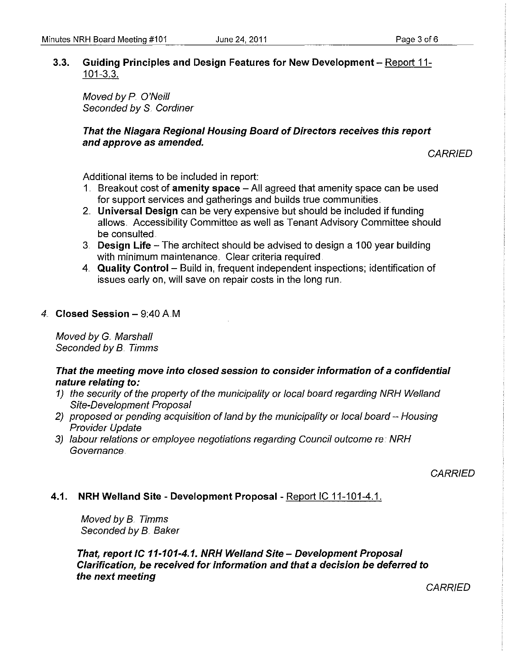#### 3,,3. **Guiding Principles and Design Features for New Development** - Report ii-101-3.3.

Moved by P. O'Neill Seconded by S. Cordiner

#### **That the Niagara Regional Housing Board of Directors receives this report and approve as amended.**

**CARRIED** 

Additional items to be included in report:

- 1. Breakout cost of **amenity space**  All agreed that amenity space can be used for support services and gatherings and builds true communities.
- 2.. **Universal Design** can be very expensive but should be included if funding allows. Accessibility Committee as well as Tenant Advisory Committee should be consulted
- 3. **Design Life**  The architect should be advised to design a 100 year building with minimum maintenance. Clear criteria required.
- 4.. **Quality Control**  Build in, frequent independent inspections; identification of issues early on, will save on repair costs in the long run.
- 4.. **Closed Session**  9:40 AM

Moved by G. Marshall Seconded by B.. Timms

#### **That the meeting move into closed session to consider information of a confidential nature relating to:**

- 1) the security of the property of the municipality or local board regarding NRH Weiland Site-Development Proposal
- 2) proposed or pending acquisition of land by the municipality or local board Housing Provider Update
- 3) labour relations or employee negotiations regarding Council outcome re: NRH Governance.

**CARRIED** 

#### **4.1. NRH Weiland Site - Development Proposal** - Report IC 11-101-4.1.

Moved by 8.. Timms Seconded by B. Baker

**That, report IC 11-101-4.1. NRH Weiland Site - Development Proposal Clarification, be received for information and that a decision be deferred to the next meeting** 

**CARRIED**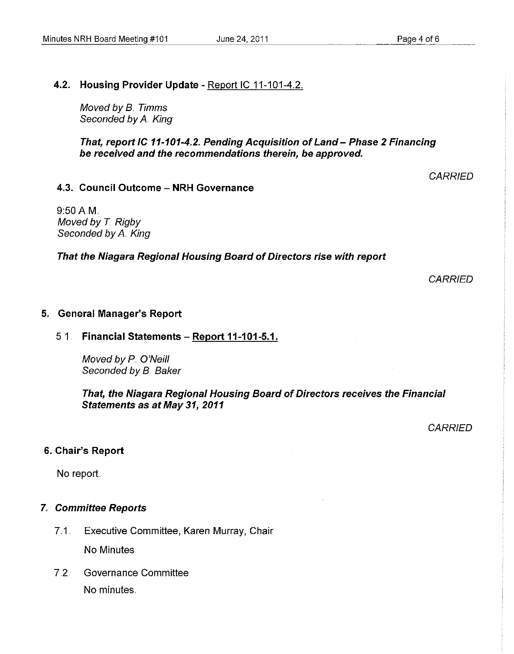#### 4.2. Housing Provider Update - Report IC 11-101-4.2.

Moved by B. Timms Seconded by A. King

That, report IC 11-101-4.2. Pending Acquisition of Land - Phase 2 Financing be received and the recommendations therein, be approved.

#### 4.3. Council Outcome - NRH Governance

9:50AM. Moved by T. Rigby Seconded by A. King

That the Niagara Regional Housing Board of Directors rise with report

**CARRIED** 

**CARRIED** 

#### 5. General Manager's Report

#### $5.1.$  Financial Statements - Report 11-101-5.1.

Moved by P O'Neill Seconded by B. Baker

That, the Niagara Regional Housing Board of Directors receives the Financial Statements as at May 31, 2011

**CARRIED** 

#### 6. Chair's Report

No report.

#### 7. Committee Reports

- 7.1 Executive Committee, Karen Murray, Chair No Minutes
- 7.2. Governance Committee No minutes.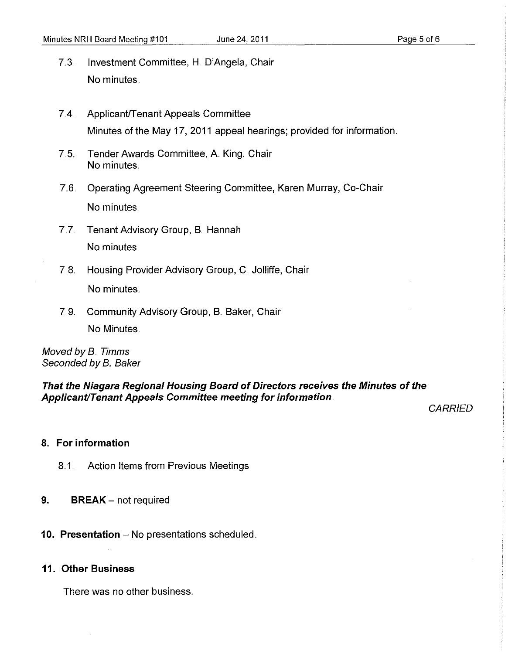- 7.3. Investment Committee, H. D'Angela, Chair No minutes.
- 7.4. Applicant/Tenant Appeals Committee Minutes of the May 17, 2011 appeal hearings; provided for information.
- 7.5. Tender Awards Committee, A. King, Chair No minutes.
- 7.6. Operating Agreement Steering Committee, Karen Murray, Co-Chair No minutes.
- 7.7. Tenant Advisory Group, B. Hannah No minutes
- 7.8. Housing Provider Advisory Group, C. Jolliffe, Chair No minutes.
- 7.9. Community Advisory Group, B. Baker, Chair No Minutes.

Moved by B. Timms Seconded by B. Baker

**That the Niagara Regional Housing Board of Directors receives the Minutes of the ApplicantiTenant Appeals Committee meeting for information,** 

**CARRIED** 

### **8. For information**

- 8.1. Action items from Previous Meetings
- **9.** BREAK not required
- **10. Presentation** No presentations scheduled.

#### **11. Other Business**

There was no other business ..